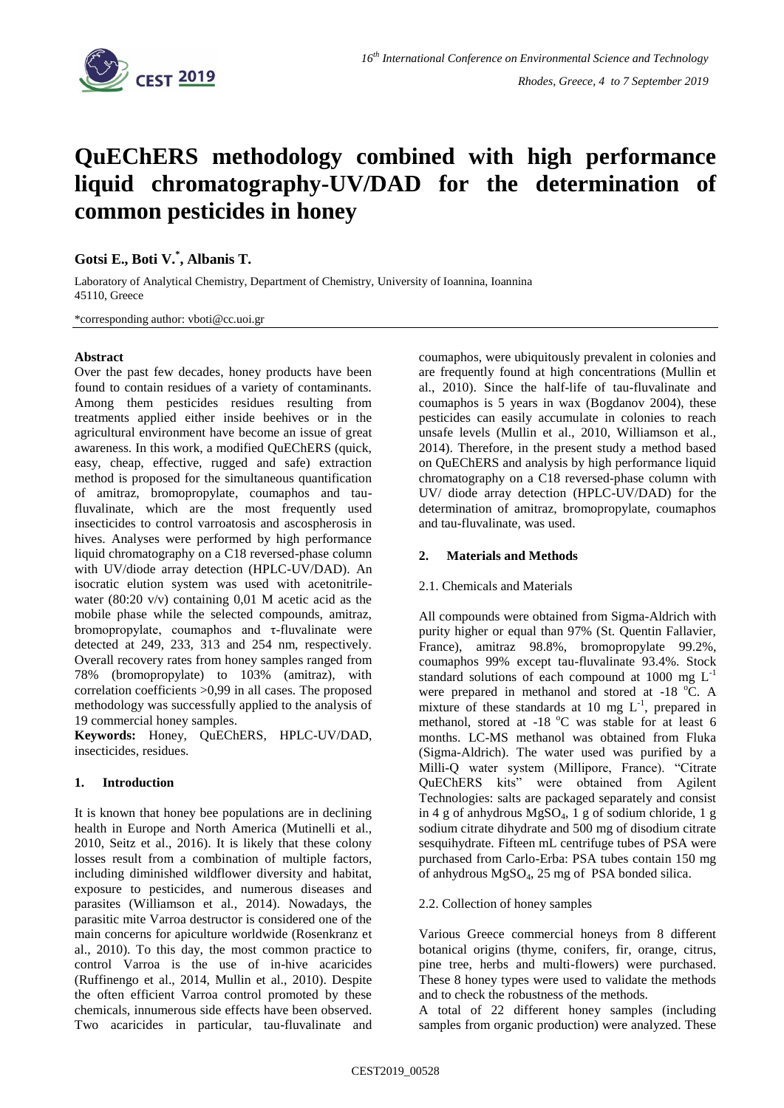

# **QuEChERS methodology combined with high performance liquid chromatography-UV/DAD for the determination of common pesticides in honey**

**Gotsi E., Boti V.\* , Albanis T.**

Laboratory of Analytical Chemistry, Department of Chemistry, University of Ioannina, Ioannina 45110, Greece

\*corresponding author: vboti@cc.uoi.gr

## **Abstract**

Over the past few decades, honey products have been found to contain residues of a variety of contaminants. Among them pesticides residues resulting from treatments applied either inside beehives or in the agricultural environment have become an issue of great awareness. In this work, a modified QuEChERS (quick, easy, cheap, effective, rugged and safe) extraction method is proposed for the simultaneous quantification of amitraz, bromopropylate, coumaphos and taufluvalinate, which are the most frequently used insecticides to control varroatosis and ascospherosis in hives. Analyses were performed by high performance liquid chromatography on a C18 reversed-phase column with UV/diode array detection (HPLC-UV/DAD). An isocratic elution system was used with acetonitrilewater (80:20 v/v) containing 0,01 M acetic acid as the mobile phase while the selected compounds, amitraz, bromopropylate, coumaphos and τ-fluvalinate were detected at 249, 233, 313 and 254 nm, respectively. Overall recovery rates from honey samples ranged from 78% (bromopropylate) to 103% (amitraz), with correlation coefficients >0,99 in all cases. The proposed methodology was successfully applied to the analysis of 19 commercial honey samples.

**Keywords:** Honey, QuEChERS, HPLC-UV/DAD, insecticides, residues.

## **1. Introduction**

It is known that honey bee populations are in declining health in Europe and North America (Mutinelli et al., 2010, Seitz et al., 2016). It is likely that these colony losses result from a combination of multiple factors, including diminished wildflower diversity and habitat, exposure to pesticides, and numerous diseases and parasites (Williamson et al., 2014). Nowadays, the parasitic mite Varroa destructor is considered one of the main concerns for apiculture worldwide (Rosenkranz et al., 2010). To this day, the most common practice to control Varroa is the use of in-hive acaricides (Ruffinengo et al., 2014, Mullin et al., 2010). Despite the often efficient Varroa control promoted by these chemicals, innumerous side effects have been observed. Two acaricides in particular, tau-fluvalinate and

coumaphos, were ubiquitously prevalent in colonies and are frequently found at high concentrations (Mullin et al., 2010). Since the half-life of tau-fluvalinate and coumaphos is 5 years in wax (Bogdanov 2004), these pesticides can easily accumulate in colonies to reach unsafe levels (Mullin et al., 2010, Williamson et al., 2014). Therefore, in the present study a method based on QuEChERS and analysis by high performance liquid chromatography on a C18 reversed-phase column with UV/ diode array detection (HPLC-UV/DAD) for the determination of amitraz, bromopropylate, coumaphos and tau-fluvalinate, was used.

## **2. Materials and Methods**

## 2.1. Chemicals and Materials

All compounds were obtained from Sigma-Aldrich with purity higher or equal than 97% (St. Quentin Fallavier, France), amitraz 98.8%, bromopropylate 99.2%, coumaphos 99% except tau-fluvalinate 93.4%. Stock standard solutions of each compound at 1000 mg  $L^{-1}$ were prepared in methanol and stored at -18 °C. A mixture of these standards at 10 mg  $L^{-1}$ , prepared in methanol, stored at -18 °C was stable for at least 6 months. LC-MS methanol was obtained from Fluka (Sigma-Aldrich). The water used was purified by a Milli-Q water system (Millipore, France). "Citrate QuEChERS kits" were obtained from Agilent Technologies: salts are packaged separately and consist in 4 g of anhydrous MgSO4, 1 g of sodium chloride, 1 g sodium citrate dihydrate and 500 mg of disodium citrate sesquihydrate. Fifteen mL centrifuge tubes of PSA were purchased from Carlo-Erba: PSA tubes contain 150 mg of anhydrous MgSO4, 25 mg of PSA bonded silica.

## 2.2. Collection of honey samples

Various Greece commercial honeys from 8 different botanical origins (thyme, conifers, fir, orange, citrus, pine tree, herbs and multi-flowers) were purchased. These 8 honey types were used to validate the methods and to check the robustness of the methods.

A total of 22 different honey samples (including samples from organic production) were analyzed. These